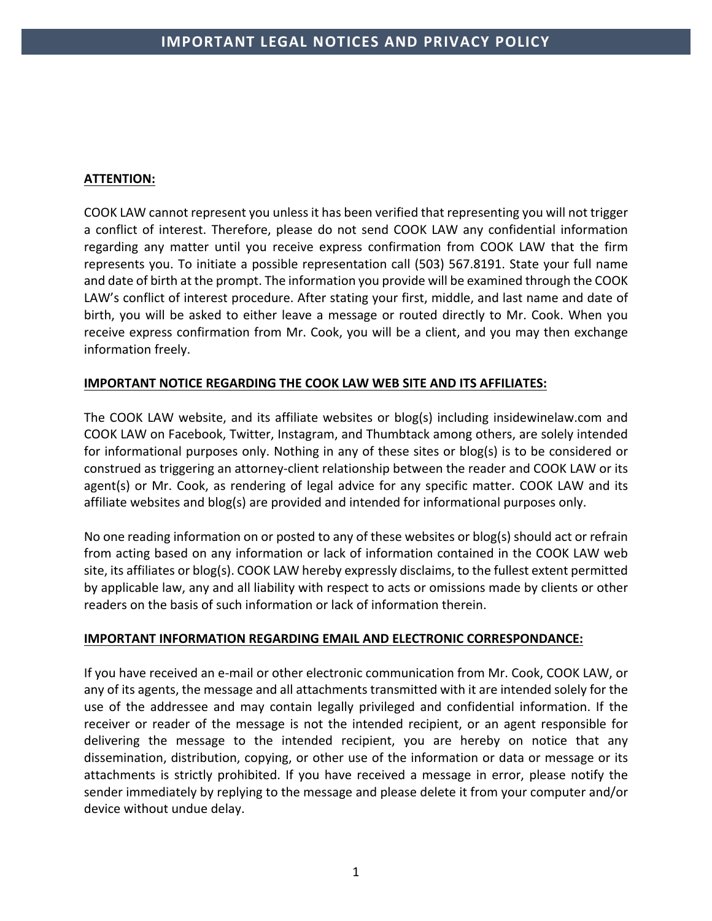# **ATTENTION:**

COOK LAW cannot represent you unless it has been verified that representing you will not trigger a conflict of interest. Therefore, please do not send COOK LAW any confidential information regarding any matter until you receive express confirmation from COOK LAW that the firm represents you. To initiate a possible representation call (503) 567.8191. State your full name and date of birth at the prompt. The information you provide will be examined through the COOK LAW's conflict of interest procedure. After stating your first, middle, and last name and date of birth, you will be asked to either leave a message or routed directly to Mr. Cook. When you receive express confirmation from Mr. Cook, you will be a client, and you may then exchange information freely.

## **IMPORTANT NOTICE REGARDING THE COOK LAW WEB SITE AND ITS AFFILIATES:**

The COOK LAW website, and its affiliate websites or blog(s) including insidewinelaw.com and COOK LAW on Facebook, Twitter, Instagram, and Thumbtack among others, are solely intended for informational purposes only. Nothing in any of these sites or blog(s) is to be considered or construed as triggering an attorney-client relationship between the reader and COOK LAW or its agent(s) or Mr. Cook, as rendering of legal advice for any specific matter. COOK LAW and its affiliate websites and blog(s) are provided and intended for informational purposes only.

No one reading information on or posted to any of these websites or blog(s) should act or refrain from acting based on any information or lack of information contained in the COOK LAW web site, its affiliates or blog(s). COOK LAW hereby expressly disclaims, to the fullest extent permitted by applicable law, any and all liability with respect to acts or omissions made by clients or other readers on the basis of such information or lack of information therein.

### **IMPORTANT INFORMATION REGARDING EMAIL AND ELECTRONIC CORRESPONDANCE:**

If you have received an e-mail or other electronic communication from Mr. Cook, COOK LAW, or any of its agents, the message and all attachments transmitted with it are intended solely for the use of the addressee and may contain legally privileged and confidential information. If the receiver or reader of the message is not the intended recipient, or an agent responsible for delivering the message to the intended recipient, you are hereby on notice that any dissemination, distribution, copying, or other use of the information or data or message or its attachments is strictly prohibited. If you have received a message in error, please notify the sender immediately by replying to the message and please delete it from your computer and/or device without undue delay.